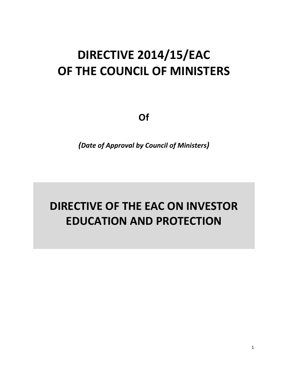# **DIRECTIVE 2014/15/EAC OF THE COUNCIL OF MINISTERS**

**Of**

*(Date of Approval by Council of Ministers)*

# **DIRECTIVE OF THE EAC ON INVESTOR EDUCATION AND PROTECTION**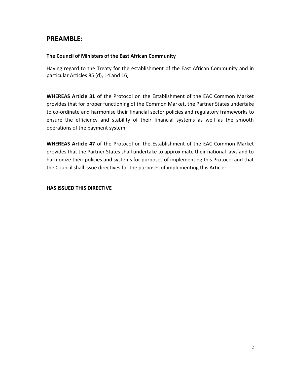## **PREAMBLE:**

#### **The Council of Ministers of the East African Community**

Having regard to the Treaty for the establishment of the East African Community and in particular Articles 85 (d), 14 and 16;

**WHEREAS Article 31** of the Protocol on the Establishment of the EAC Common Market provides that for proper functioning of the Common Market, the Partner States undertake to co-ordinate and harmonise their financial sector policies and regulatory frameworks to ensure the efficiency and stability of their financial systems as well as the smooth operations of the payment system;

**WHEREAS Article 47** of the Protocol on the Establishment of the EAC Common Market provides that the Partner States shall undertake to approximate their national laws and to harmonize their policies and systems for purposes of implementing this Protocol and that the Council shall issue directives for the purposes of implementing this Article:

#### **HAS ISSUED THIS DIRECTIVE**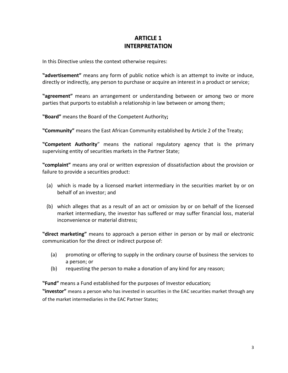## **ARTICLE 1 INTERPRETATION**

In this Directive unless the context otherwise requires:

**"advertisement"** means any form of public notice which is an attempt to invite or induce, directly or indirectly, any person to purchase or acquire an interest in a product or service;

**"agreement"** means an arrangement or understanding between or among two or more parties that purports to establish a relationship in law between or among them;

**"Board"** means the Board of the Competent Authority**;**

**"Community"** means the East African Community established by Article 2 of the Treaty;

**"Competent Authority**" means the national regulatory agency that is the primary supervising entity of securities markets in the Partner State;

**"complaint"** means any oral or written expression of dissatisfaction about the provision or failure to provide a securities product:

- (a) which is made by a licensed market intermediary in the securities market by or on behalf of an investor; and
- (b) which alleges that as a result of an act or omission by or on behalf of the licensed market intermediary, the investor has suffered or may suffer financial loss, material inconvenience or material distress;

**"direct marketing"** means to approach a person either in person or by mail or electronic communication for the direct or indirect purpose of:

- (a) promoting or offering to supply in the ordinary course of business the services to a person; or
- (b) requesting the person to make a donation of any kind for any reason;

**"Fund"** means a Fund established for the purposes of Investor education**;**

**"investor"** means a person who has invested in securities in the EAC securities market through any of the market intermediaries in the EAC Partner States;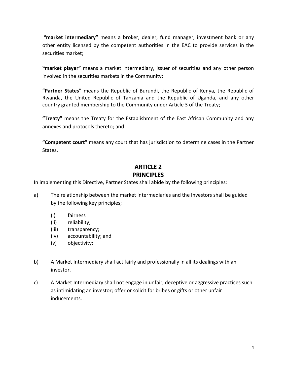**"market intermediary"** means a broker, dealer, fund manager, investment bank or any other entity licensed by the competent authorities in the EAC to provide services in the securities market;

**"market player"** means a market intermediary, issuer of securities and any other person involved in the securities markets in the Community;

**"Partner States"** means the Republic of Burundi, the Republic of Kenya, the Republic of Rwanda, the United Republic of Tanzania and the Republic of Uganda, and any other country granted membership to the Community under Article 3 of the Treaty;

**"Treaty"** means the Treaty for the Establishment of the East African Community and any annexes and protocols thereto; and

**"Competent court"** means any court that has jurisdiction to determine cases in the Partner States**.**

## **ARTICLE 2 PRINCIPLES**

In implementing this Directive, Partner States shall abide by the following principles:

- a) The relationship between the market intermediaries and the Investors shall be guided by the following key principles;
	- (i) fairness
	- (ii) reliability;
	- (iii) transparency;
	- (iv) accountability; and
	- (v) objectivity;
- b) A Market Intermediary shall act fairly and professionally in all its dealings with an investor.
- c) A Market Intermediary shall not engage in unfair, deceptive or aggressive practices such as intimidating an investor; offer or solicit for bribes or gifts or other unfair inducements.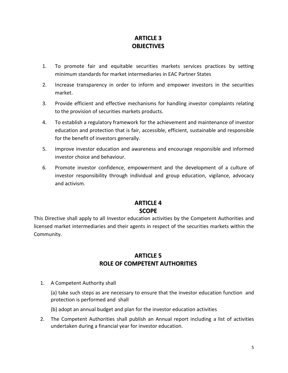## **ARTICLE 3 OBJECTIVES**

- 1. To promote fair and equitable securities markets services practices by setting minimum standards for market intermediaries in EAC Partner States
- 2. Increase transparency in order to inform and empower investors in the securities market.
- 3. Provide efficient and effective mechanisms for handling investor complaints relating to the provision of securities markets products.
- 4. To establish a regulatory framework for the achievement and maintenance of investor education and protection that is fair, accessible, efficient, sustainable and responsible for the benefit of investors generally.
- 5. Improve investor education and awareness and encourage responsible and informed investor choice and behaviour.
- 6. Promote investor confidence, empowerment and the development of a culture of investor responsibility through individual and group education, vigilance, advocacy and activism.

## **ARTICLE 4 SCOPE**

This Directive shall apply to all Investor education activities by the Competent Authorities and licensed market intermediaries and their agents in respect of the securities markets within the Community.

### **ARTICLE 5 ROLE OF COMPETENT AUTHORITIES**

1. A Competent Authority shall

(a) take such steps as are necessary to ensure that the investor education function and protection is performed and shall

(b) adopt an annual budget and plan for the investor education activities

2. The Competent Authorities shall publish an Annual report including a list of activities undertaken during a financial year for investor education.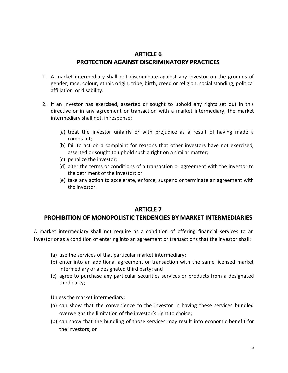#### **ARTICLE 6 PROTECTION AGAINST DISCRIMINATORY PRACTICES**

- 1. A market intermediary shall not discriminate against any investor on the grounds of gender, race, colour, ethnic origin, tribe, birth, creed or religion, social standing, political affiliation or disability.
- 2. If an investor has exercised, asserted or sought to uphold any rights set out in this directive or in any agreement or transaction with a market intermediary, the market intermediary shall not, in response:
	- (a) treat the investor unfairly or with prejudice as a result of having made a complaint;
	- (b) fail to act on a complaint for reasons that other investors have not exercised, asserted or sought to uphold such a right on a similar matter;
	- (c) penalize the investor;
	- (d) alter the terms or conditions of a transaction or agreement with the investor to the detriment of the investor; or
	- (e) take any action to accelerate, enforce, suspend or terminate an agreement with the investor.

#### **ARTICLE 7**

#### **PROHIBITION OF MONOPOLISTIC TENDENCIES BY MARKET INTERMEDIARIES**

A market intermediary shall not require as a condition of offering financial services to an investor or as a condition of entering into an agreement or transactions that the investor shall:

- (a) use the services of that particular market intermediary;
- (b) enter into an additional agreement or transaction with the same licensed market intermediary or a designated third party; and
- (c) agree to purchase any particular securities services or products from a designated third party;

Unless the market intermediary:

- (a) can show that the convenience to the investor in having these services bundled overweighs the limitation of the investor's right to choice;
- (b) can show that the bundling of those services may result into economic benefit for the investors; or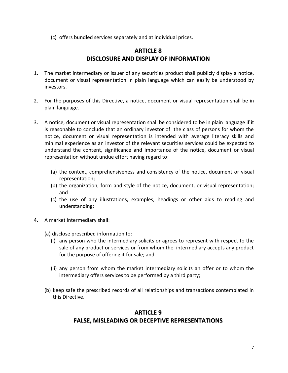(c) offers bundled services separately and at individual prices.

#### **ARTICLE 8 DISCLOSURE AND DISPLAY OF INFORMATION**

- 1. The market intermediary or issuer of any securities product shall publicly display a notice, document or visual representation in plain language which can easily be understood by investors.
- 2. For the purposes of this Directive, a notice, document or visual representation shall be in plain language.
- 3. A notice, document or visual representation shall be considered to be in plain language if it is reasonable to conclude that an ordinary investor of the class of persons for whom the notice, document or visual representation is intended with average literacy skills and minimal experience as an investor of the relevant securities services could be expected to understand the content, significance and importance of the notice, document or visual representation without undue effort having regard to:
	- (a) the context, comprehensiveness and consistency of the notice, document or visual representation;
	- (b) the organization, form and style of the notice, document, or visual representation; and
	- (c) the use of any illustrations, examples, headings or other aids to reading and understanding;
- 4. A market intermediary shall:
	- (a) disclose prescribed information to:
		- (i) any person who the intermediary solicits or agrees to represent with respect to the sale of any product or services or from whom the intermediary accepts any product for the purpose of offering it for sale; and
		- (ii) any person from whom the market intermediary solicits an offer or to whom the intermediary offers services to be performed by a third party;
	- (b) keep safe the prescribed records of all relationships and transactions contemplated in this Directive.

## **ARTICLE 9 FALSE, MISLEADING OR DECEPTIVE REPRESENTATIONS**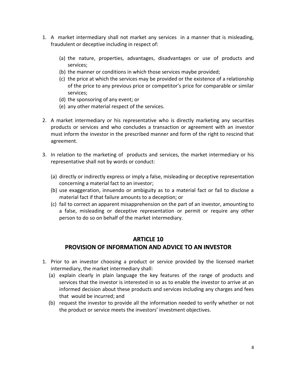- 1. A market intermediary shall not market any services in a manner that is misleading, fraudulent or deceptive including in respect of:
	- (a) the nature, properties, advantages, disadvantages or use of products and services;
	- (b) the manner or conditions in which those services maybe provided;
	- (c) the price at which the services may be provided or the existence of a relationship of the price to any previous price or competitor's price for comparable or similar services;
	- (d) the sponsoring of any event; or
	- (e) any other material respect of the services.
- 2. A market intermediary or his representative who is directly marketing any securities products or services and who concludes a transaction or agreement with an investor must inform the investor in the prescribed manner and form of the right to rescind that agreement.
- 3. In relation to the marketing of products and services, the market intermediary or his representative shall not by words or conduct:
	- (a) directly or indirectly express or imply a false, misleading or deceptive representation concerning a material fact to an investor;
	- (b) use exaggeration, innuendo or ambiguity as to a material fact or fail to disclose a material fact if that failure amounts to a deception; or
	- (c) fail to correct an apparent misapprehension on the part of an investor, amounting to a false, misleading or deceptive representation or permit or require any other person to do so on behalf of the market intermediary.

### **ARTICLE 10 PROVISION OF INFORMATION AND ADVICE TO AN INVESTOR**

- 1. Prior to an investor choosing a product or service provided by the licensed market intermediary, the market intermediary shall:
	- (a) explain clearly in plain language the key features of the range of products and services that the investor is interested in so as to enable the investor to arrive at an informed decision about these products and services including any charges and fees that would be incurred; and
	- (b) request the investor to provide all the information needed to verify whether or not the product or service meets the investors' investment objectives.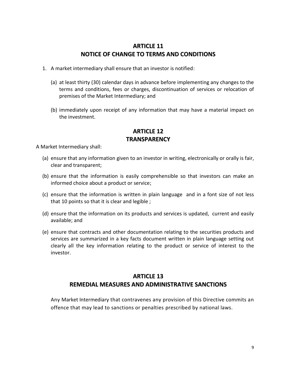#### **ARTICLE 11 NOTICE OF CHANGE TO TERMS AND CONDITIONS**

- 1. A market intermediary shall ensure that an investor is notified:
	- (a) at least thirty (30) calendar days in advance before implementing any changes to the terms and conditions, fees or charges, discontinuation of services or relocation of premises of the Market Intermediary; and
	- (b) immediately upon receipt of any information that may have a material impact on the investment.

#### **ARTICLE 12 TRANSPARENCY**

A Market Intermediary shall:

- (a) ensure that any information given to an investor in writing, electronically or orally is fair, clear and transparent;
- (b) ensure that the information is easily comprehensible so that investors can make an informed choice about a product or service;
- (c) ensure that the information is written in plain language and in a font size of not less that 10 points so that it is clear and legible ;
- (d) ensure that the information on its products and services is updated, current and easily available; and
- (e) ensure that contracts and other documentation relating to the securities products and services are summarized in a key facts document written in plain language setting out clearly all the key information relating to the product or service of interest to the investor.

## **ARTICLE 13 REMEDIAL MEASURES AND ADMINISTRATIVE SANCTIONS**

Any Market Intermediary that contravenes any provision of this Directive commits an offence that may lead to sanctions or penalties prescribed by national laws.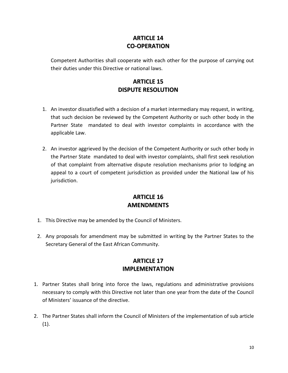## **ARTICLE 14 CO-OPERATION**

Competent Authorities shall cooperate with each other for the purpose of carrying out their duties under this Directive or national laws.

## **ARTICLE 15 DISPUTE RESOLUTION**

- 1. An investor dissatisfied with a decision of a market intermediary may request, in writing, that such decision be reviewed by the Competent Authority or such other body in the Partner State mandated to deal with investor complaints in accordance with the applicable Law.
- 2. An investor aggrieved by the decision of the Competent Authority or such other body in the Partner State mandated to deal with investor complaints, shall first seek resolution of that complaint from alternative dispute resolution mechanisms prior to lodging an appeal to a court of competent jurisdiction as provided under the National law of his jurisdiction.

### **ARTICLE 16 AMENDMENTS**

- 1. This Directive may be amended by the Council of Ministers.
- 2. Any proposals for amendment may be submitted in writing by the Partner States to the Secretary General of the East African Community.

### **ARTICLE 17 IMPLEMENTATION**

- 1. Partner States shall bring into force the laws, regulations and administrative provisions necessary to comply with this Directive not later than one year from the date of the Council of Ministers' issuance of the directive.
- 2. The Partner States shall inform the Council of Ministers of the implementation of sub article (1).